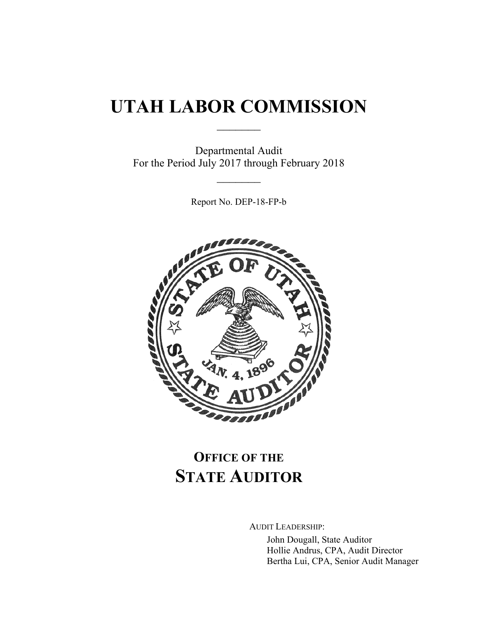# **UTAH LABOR COMMISSION**

 $\frac{1}{2}$ 

Departmental Audit For the Period July 2017 through February 2018

 $\frac{1}{2}$ 

Report No. DEP-18-FP-b



## **OFFICE OF THE STATE AUDITOR**

AUDIT LEADERSHIP:

John Dougall, State Auditor Hollie Andrus, CPA, Audit Director Bertha Lui, CPA, Senior Audit Manager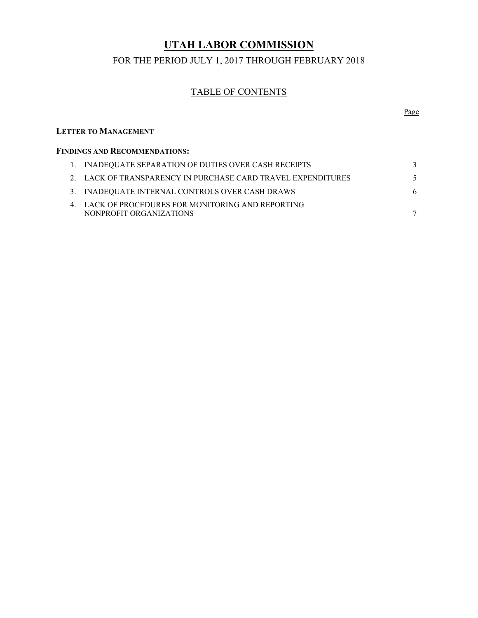## **UTAH LABOR COMMISSION**

#### FOR THE PERIOD JULY 1, 2017 THROUGH FEBRUARY 2018

#### TABLE OF CONTENTS

#### **LETTER TO MANAGEMENT**

| <b>FINDINGS AND RECOMMENDATIONS:</b> |                                                                               |  |
|--------------------------------------|-------------------------------------------------------------------------------|--|
|                                      | 1. INADEQUATE SEPARATION OF DUTIES OVER CASH RECEIPTS                         |  |
|                                      | 2. LACK OF TRANSPARENCY IN PURCHASE CARD TRAVEL EXPENDITURES                  |  |
|                                      | 3. INADEQUATE INTERNAL CONTROLS OVER CASH DRAWS                               |  |
|                                      | 4. LACK OF PROCEDURES FOR MONITORING AND REPORTING<br>NONPROFIT ORGANIZATIONS |  |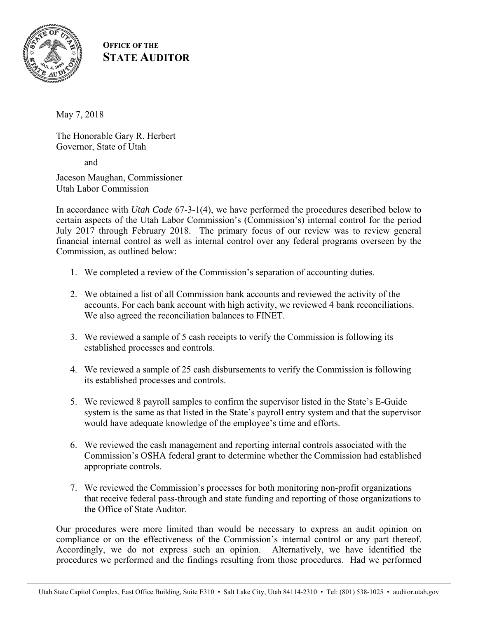

### **OFFICE OF THE STATE AUDITOR**

May 7, 2018

The Honorable Gary R. Herbert Governor, State of Utah

and

Jaceson Maughan, Commissioner Utah Labor Commission

In accordance with *Utah Code* 67-3-1(4), we have performed the procedures described below to certain aspects of the Utah Labor Commission's (Commission's) internal control for the period July 2017 through February 2018. The primary focus of our review was to review general financial internal control as well as internal control over any federal programs overseen by the Commission, as outlined below:

- 1. We completed a review of the Commission's separation of accounting duties.
- 2. We obtained a list of all Commission bank accounts and reviewed the activity of the accounts. For each bank account with high activity, we reviewed 4 bank reconciliations. We also agreed the reconciliation balances to FINET.
- 3. We reviewed a sample of 5 cash receipts to verify the Commission is following its established processes and controls.
- 4. We reviewed a sample of 25 cash disbursements to verify the Commission is following its established processes and controls.
- 5. We reviewed 8 payroll samples to confirm the supervisor listed in the State's E-Guide system is the same as that listed in the State's payroll entry system and that the supervisor would have adequate knowledge of the employee's time and efforts.
- 6. We reviewed the cash management and reporting internal controls associated with the Commission's OSHA federal grant to determine whether the Commission had established appropriate controls.
- 7. We reviewed the Commission's processes for both monitoring non-profit organizations that receive federal pass-through and state funding and reporting of those organizations to the Office of State Auditor.

Our procedures were more limited than would be necessary to express an audit opinion on compliance or on the effectiveness of the Commission's internal control or any part thereof. Accordingly, we do not express such an opinion. Alternatively, we have identified the procedures we performed and the findings resulting from those procedures. Had we performed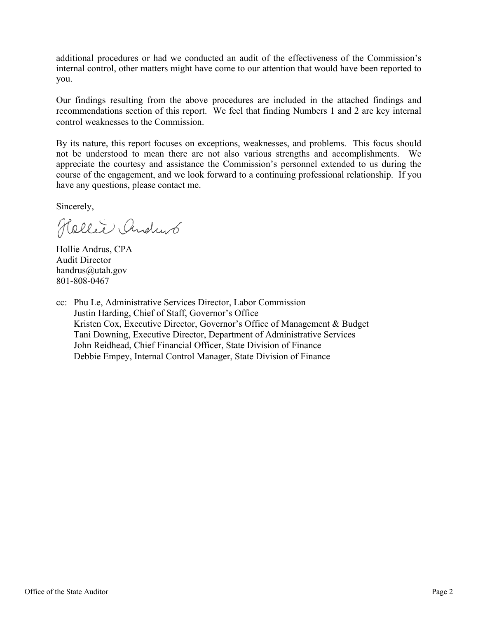additional procedures or had we conducted an audit of the effectiveness of the Commission's internal control, other matters might have come to our attention that would have been reported to you.

Our findings resulting from the above procedures are included in the attached findings and recommendations section of this report. We feel that finding Numbers 1 and 2 are key internal control weaknesses to the Commission.

By its nature, this report focuses on exceptions, weaknesses, and problems. This focus should not be understood to mean there are not also various strengths and accomplishments. We appreciate the courtesy and assistance the Commission's personnel extended to us during the course of the engagement, and we look forward to a continuing professional relationship. If you have any questions, please contact me.

Sincerely,

Hollie Andrub

Hollie Andrus, CPA Audit Director handrus@utah.gov 801-808-0467

cc: Phu Le, Administrative Services Director, Labor Commission Justin Harding, Chief of Staff, Governor's Office Kristen Cox, Executive Director, Governor's Office of Management & Budget Tani Downing, Executive Director, Department of Administrative Services John Reidhead, Chief Financial Officer, State Division of Finance Debbie Empey, Internal Control Manager, State Division of Finance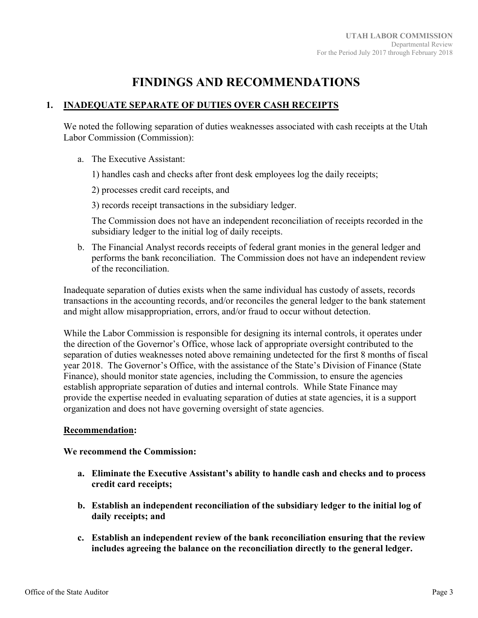## **FINDINGS AND RECOMMENDATIONS**

#### **1. INADEQUATE SEPARATE OF DUTIES OVER CASH RECEIPTS**

We noted the following separation of duties weaknesses associated with cash receipts at the Utah Labor Commission (Commission):

- a. The Executive Assistant:
	- 1) handles cash and checks after front desk employees log the daily receipts;
	- 2) processes credit card receipts, and
	- 3) records receipt transactions in the subsidiary ledger.

The Commission does not have an independent reconciliation of receipts recorded in the subsidiary ledger to the initial log of daily receipts.

b. The Financial Analyst records receipts of federal grant monies in the general ledger and performs the bank reconciliation. The Commission does not have an independent review of the reconciliation.

Inadequate separation of duties exists when the same individual has custody of assets, records transactions in the accounting records, and/or reconciles the general ledger to the bank statement and might allow misappropriation, errors, and/or fraud to occur without detection.

While the Labor Commission is responsible for designing its internal controls, it operates under the direction of the Governor's Office, whose lack of appropriate oversight contributed to the separation of duties weaknesses noted above remaining undetected for the first 8 months of fiscal year 2018. The Governor's Office, with the assistance of the State's Division of Finance (State Finance), should monitor state agencies, including the Commission, to ensure the agencies establish appropriate separation of duties and internal controls. While State Finance may provide the expertise needed in evaluating separation of duties at state agencies, it is a support organization and does not have governing oversight of state agencies.

#### **Recommendation:**

#### **We recommend the Commission:**

- **a. Eliminate the Executive Assistant's ability to handle cash and checks and to process credit card receipts;**
- **b. Establish an independent reconciliation of the subsidiary ledger to the initial log of daily receipts; and**
- **c. Establish an independent review of the bank reconciliation ensuring that the review includes agreeing the balance on the reconciliation directly to the general ledger.**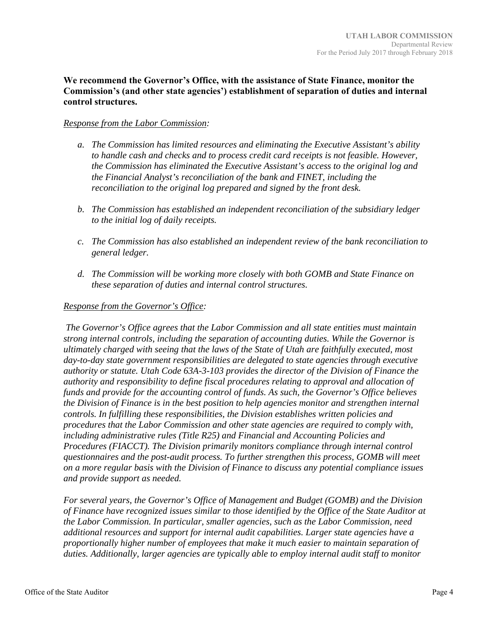#### **We recommend the Governor's Office, with the assistance of State Finance, monitor the Commission's (and other state agencies') establishment of separation of duties and internal control structures.**

#### *Response from the Labor Commission:*

- *a. The Commission has limited resources and eliminating the Executive Assistant's ability to handle cash and checks and to process credit card receipts is not feasible. However, the Commission has eliminated the Executive Assistant's access to the original log and the Financial Analyst's reconciliation of the bank and FINET, including the reconciliation to the original log prepared and signed by the front desk.*
- *b. The Commission has established an independent reconciliation of the subsidiary ledger to the initial log of daily receipts.*
- *c. The Commission has also established an independent review of the bank reconciliation to general ledger.*
- *d. The Commission will be working more closely with both GOMB and State Finance on these separation of duties and internal control structures.*

#### *Response from the Governor's Office:*

 *The Governor's Office agrees that the Labor Commission and all state entities must maintain strong internal controls, including the separation of accounting duties. While the Governor is ultimately charged with seeing that the laws of the State of Utah are faithfully executed, most day-to-day state government responsibilities are delegated to state agencies through executive authority or statute. Utah Code 63A-3-103 provides the director of the Division of Finance the authority and responsibility to define fiscal procedures relating to approval and allocation of funds and provide for the accounting control of funds. As such, the Governor's Office believes the Division of Finance is in the best position to help agencies monitor and strengthen internal controls. In fulfilling these responsibilities, the Division establishes written policies and procedures that the Labor Commission and other state agencies are required to comply with, including administrative rules (Title R25) and Financial and Accounting Policies and Procedures (FIACCT). The Division primarily monitors compliance through internal control questionnaires and the post-audit process. To further strengthen this process, GOMB will meet on a more regular basis with the Division of Finance to discuss any potential compliance issues and provide support as needed.* 

*For several years, the Governor's Office of Management and Budget (GOMB) and the Division of Finance have recognized issues similar to those identified by the Office of the State Auditor at the Labor Commission. In particular, smaller agencies, such as the Labor Commission, need additional resources and support for internal audit capabilities. Larger state agencies have a proportionally higher number of employees that make it much easier to maintain separation of duties. Additionally, larger agencies are typically able to employ internal audit staff to monitor*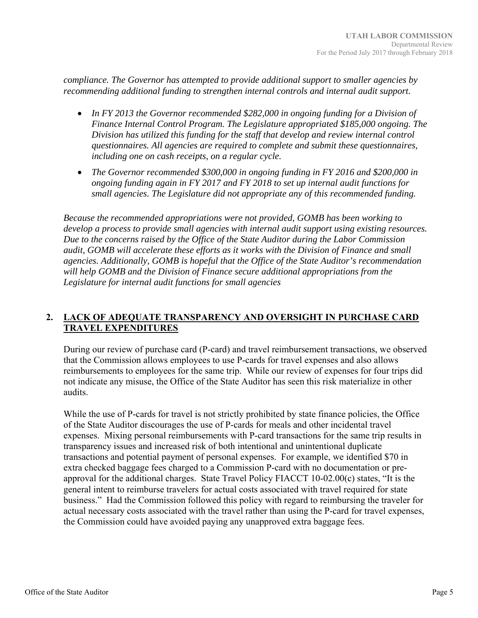*compliance. The Governor has attempted to provide additional support to smaller agencies by recommending additional funding to strengthen internal controls and internal audit support.* 

- In FY 2013 the Governor recommended \$282,000 in ongoing funding for a Division of *Finance Internal Control Program. The Legislature appropriated \$185,000 ongoing. The Division has utilized this funding for the staff that develop and review internal control questionnaires. All agencies are required to complete and submit these questionnaires, including one on cash receipts, on a regular cycle.*
- *The Governor recommended \$300,000 in ongoing funding in FY 2016 and \$200,000 in ongoing funding again in FY 2017 and FY 2018 to set up internal audit functions for small agencies. The Legislature did not appropriate any of this recommended funding.*

*Because the recommended appropriations were not provided, GOMB has been working to develop a process to provide small agencies with internal audit support using existing resources. Due to the concerns raised by the Office of the State Auditor during the Labor Commission audit, GOMB will accelerate these efforts as it works with the Division of Finance and small agencies. Additionally, GOMB is hopeful that the Office of the State Auditor's recommendation will help GOMB and the Division of Finance secure additional appropriations from the Legislature for internal audit functions for small agencies* 

#### **2. LACK OF ADEQUATE TRANSPARENCY AND OVERSIGHT IN PURCHASE CARD TRAVEL EXPENDITURES**

During our review of purchase card (P-card) and travel reimbursement transactions, we observed that the Commission allows employees to use P-cards for travel expenses and also allows reimbursements to employees for the same trip. While our review of expenses for four trips did not indicate any misuse, the Office of the State Auditor has seen this risk materialize in other audits.

While the use of P-cards for travel is not strictly prohibited by state finance policies, the Office of the State Auditor discourages the use of P-cards for meals and other incidental travel expenses. Mixing personal reimbursements with P-card transactions for the same trip results in transparency issues and increased risk of both intentional and unintentional duplicate transactions and potential payment of personal expenses. For example, we identified \$70 in extra checked baggage fees charged to a Commission P-card with no documentation or preapproval for the additional charges. State Travel Policy FIACCT 10-02.00(c) states, "It is the general intent to reimburse travelers for actual costs associated with travel required for state business." Had the Commission followed this policy with regard to reimbursing the traveler for actual necessary costs associated with the travel rather than using the P-card for travel expenses, the Commission could have avoided paying any unapproved extra baggage fees.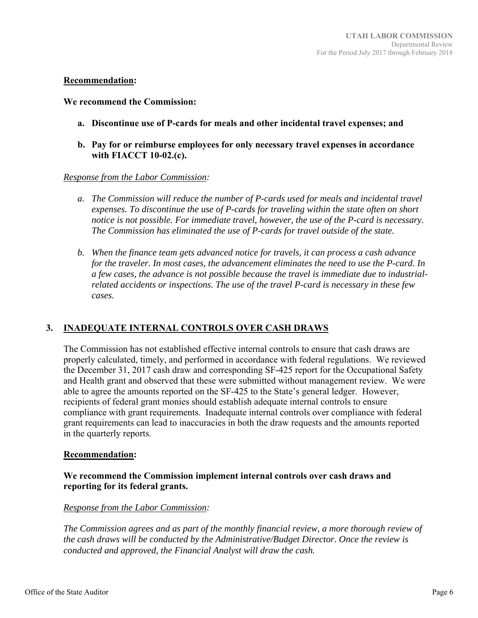#### **Recommendation:**

#### **We recommend the Commission:**

- **a. Discontinue use of P-cards for meals and other incidental travel expenses; and**
- **b. Pay for or reimburse employees for only necessary travel expenses in accordance with FIACCT 10-02.(c).**

#### *Response from the Labor Commission:*

- *a. The Commission will reduce the number of P-cards used for meals and incidental travel expenses. To discontinue the use of P-cards for traveling within the state often on short notice is not possible. For immediate travel, however, the use of the P-card is necessary. The Commission has eliminated the use of P-cards for travel outside of the state.*
- *b. When the finance team gets advanced notice for travels, it can process a cash advance for the traveler. In most cases, the advancement eliminates the need to use the P-card. In a few cases, the advance is not possible because the travel is immediate due to industrialrelated accidents or inspections. The use of the travel P-card is necessary in these few cases.*

#### **3. INADEQUATE INTERNAL CONTROLS OVER CASH DRAWS**

The Commission has not established effective internal controls to ensure that cash draws are properly calculated, timely, and performed in accordance with federal regulations. We reviewed the December 31, 2017 cash draw and corresponding SF-425 report for the Occupational Safety and Health grant and observed that these were submitted without management review. We were able to agree the amounts reported on the SF-425 to the State's general ledger. However, recipients of federal grant monies should establish adequate internal controls to ensure compliance with grant requirements. Inadequate internal controls over compliance with federal grant requirements can lead to inaccuracies in both the draw requests and the amounts reported in the quarterly reports.

#### **Recommendation:**

#### **We recommend the Commission implement internal controls over cash draws and reporting for its federal grants.**

#### *Response from the Labor Commission:*

*The Commission agrees and as part of the monthly financial review, a more thorough review of the cash draws will be conducted by the Administrative/Budget Director. Once the review is conducted and approved, the Financial Analyst will draw the cash.*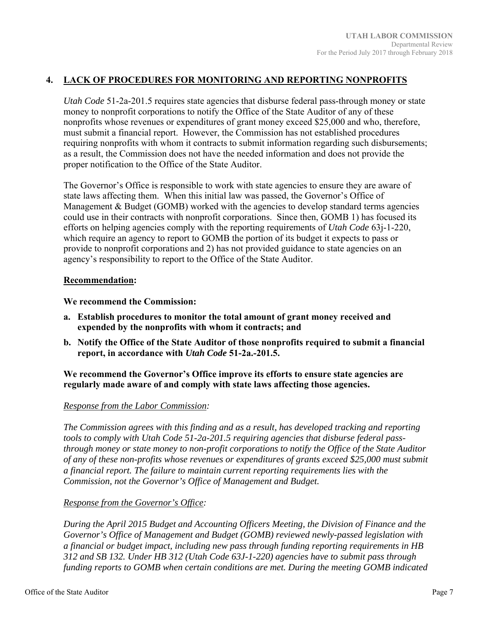#### **4. LACK OF PROCEDURES FOR MONITORING AND REPORTING NONPROFITS**

*Utah Code* 51-2a-201.5 requires state agencies that disburse federal pass-through money or state money to nonprofit corporations to notify the Office of the State Auditor of any of these nonprofits whose revenues or expenditures of grant money exceed \$25,000 and who, therefore, must submit a financial report. However, the Commission has not established procedures requiring nonprofits with whom it contracts to submit information regarding such disbursements; as a result, the Commission does not have the needed information and does not provide the proper notification to the Office of the State Auditor.

The Governor's Office is responsible to work with state agencies to ensure they are aware of state laws affecting them. When this initial law was passed, the Governor's Office of Management  $\&$  Budget (GOMB) worked with the agencies to develop standard terms agencies could use in their contracts with nonprofit corporations. Since then, GOMB 1) has focused its efforts on helping agencies comply with the reporting requirements of *Utah Code* 63j-1-220, which require an agency to report to GOMB the portion of its budget it expects to pass or provide to nonprofit corporations and 2) has not provided guidance to state agencies on an agency's responsibility to report to the Office of the State Auditor.

#### **Recommendation:**

**We recommend the Commission:** 

- **a. Establish procedures to monitor the total amount of grant money received and expended by the nonprofits with whom it contracts; and**
- **b. Notify the Office of the State Auditor of those nonprofits required to submit a financial report, in accordance with** *Utah Code* **51-2a.-201.5.**

**We recommend the Governor's Office improve its efforts to ensure state agencies are regularly made aware of and comply with state laws affecting those agencies.** 

#### *Response from the Labor Commission:*

*The Commission agrees with this finding and as a result, has developed tracking and reporting tools to comply with Utah Code 51-2a-201.5 requiring agencies that disburse federal passthrough money or state money to non-profit corporations to notify the Office of the State Auditor of any of these non-profits whose revenues or expenditures of grants exceed \$25,000 must submit a financial report. The failure to maintain current reporting requirements lies with the Commission, not the Governor's Office of Management and Budget.* 

#### *Response from the Governor's Office:*

*During the April 2015 Budget and Accounting Officers Meeting, the Division of Finance and the Governor's Office of Management and Budget (GOMB) reviewed newly-passed legislation with a financial or budget impact, including new pass through funding reporting requirements in HB 312 and SB 132. Under HB 312 (Utah Code 63J-1-220) agencies have to submit pass through funding reports to GOMB when certain conditions are met. During the meeting GOMB indicated*